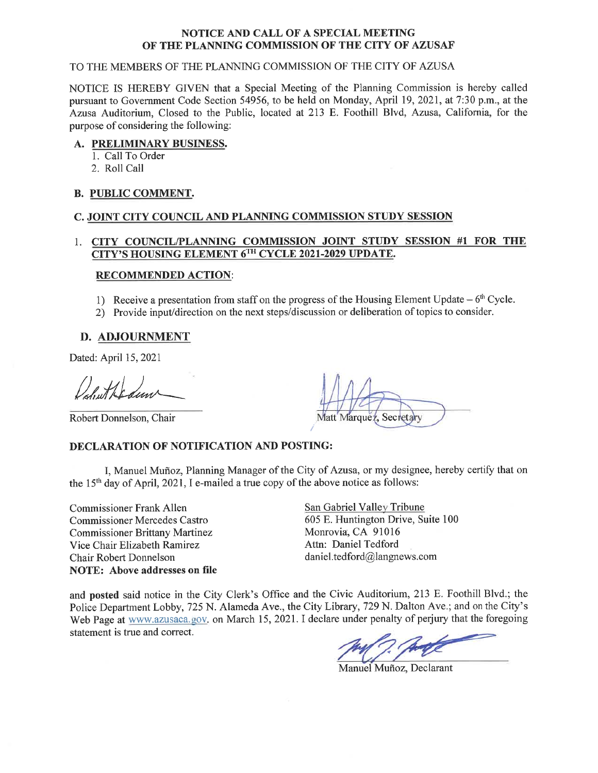#### NOTICE AND CALL OF A SPECIAL MEETING OF THE PLANNING COMMISSION OF THE CITY OF AZUSAF

#### TO THE MEMBERS OF THE PLANNING COMMISSION OF THE CITY OF AZUSA

NOTICE IS HEREBY GIVEN that a Special Meeting of the Planning Commission is hereby called pursuant to Government Code Section 54956, to be held on Monday, April 19, 2021, at 7:30 p.m., at the Azusa Auditorium, Closed to the Public, located at 213 E. Foothill Blvd, Azusa, California, for the purpose of considering the following:

#### A. PRELIMINARY BUSINESS.

- 1. Call To Order
- 2. Roll Call

#### **B. PUBLIC COMMENT.**

#### C. JOINT CITY COUNCIL AND PLANNING COMMISSION STUDY SESSION

#### 1. CITY COUNCIL/PLANNING COMMISSION JOINT STUDY SESSION #1 FOR THE CITY'S HOUSING ELEMENT 6TH CYCLE 2021-2029 UPDATE.

#### **RECOMMENDED ACTION:**

- 1) Receive a presentation from staff on the progress of the Housing Element Update  $-6<sup>th</sup>$  Cycle.
- 2) Provide input/direction on the next steps/discussion or deliberation of topics to consider.

#### D. ADJOURNMENT

Dated: April 15, 2021

Robert Donnelson, Chair

Matt Marquez.

#### **DECLARATION OF NOTIFICATION AND POSTING:**

I, Manuel Muñoz, Planning Manager of the City of Azusa, or my designee, hereby certify that on the 15<sup>th</sup> day of April, 2021, I e-mailed a true copy of the above notice as follows:

**Commissioner Frank Allen Commissioner Mercedes Castro Commissioner Brittany Martinez** Vice Chair Elizabeth Ramirez Chair Robert Donnelson **NOTE: Above addresses on file** 

San Gabriel Valley Tribune 605 E. Huntington Drive, Suite 100 Monrovia, CA 91016 Attn: Daniel Tedford daniel.tedford@langnews.com

and posted said notice in the City Clerk's Office and the Civic Auditorium, 213 E. Foothill Blvd.; the Police Department Lobby, 725 N. Alameda Ave., the City Library, 729 N. Dalton Ave.; and on the City's Web Page at www.azusaca.gov. on March 15, 2021. I declare under penalty of perjury that the foregoing statement is true and correct.

Manuel Muñoz, Declarant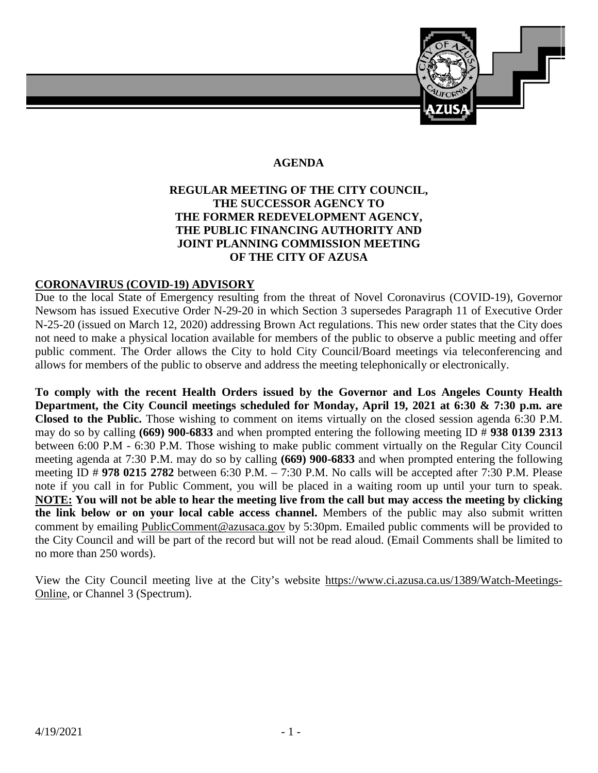

# **AGENDA**

## **REGULAR MEETING OF THE CITY COUNCIL, THE SUCCESSOR AGENCY TO THE FORMER REDEVELOPMENT AGENCY, THE PUBLIC FINANCING AUTHORITY AND JOINT PLANNING COMMISSION MEETING OF THE CITY OF AZUSA**

## **CORONAVIRUS (COVID-19) ADVISORY**

Due to the local State of Emergency resulting from the threat of Novel Coronavirus (COVID-19), Governor Newsom has issued Executive Order N-29-20 in which Section 3 supersedes Paragraph 11 of Executive Order N-25-20 (issued on March 12, 2020) addressing Brown Act regulations. This new order states that the City does not need to make a physical location available for members of the public to observe a public meeting and offer public comment. The Order allows the City to hold City Council/Board meetings via teleconferencing and allows for members of the public to observe and address the meeting telephonically or electronically.

**To comply with the recent Health Orders issued by the Governor and Los Angeles County Health Department, the City Council meetings scheduled for Monday, April 19, 2021 at 6:30 & 7:30 p.m. are Closed to the Public.** Those wishing to comment on items virtually on the closed session agenda 6:30 P.M. may do so by calling **(669) 900-6833** and when prompted entering the following meeting ID # **938 0139 2313** between 6:00 P.M - 6:30 P.M. Those wishing to make public comment virtually on the Regular City Council meeting agenda at 7:30 P.M. may do so by calling **(669) 900-6833** and when prompted entering the following meeting ID # **978 0215 2782** between 6:30 P.M. – 7:30 P.M. No calls will be accepted after 7:30 P.M. Please note if you call in for Public Comment, you will be placed in a waiting room up until your turn to speak. **NOTE: You will not be able to hear the meeting live from the call but may access the meeting by clicking the link below or on your local cable access channel.** Members of the public may also submit written comment by emailing [PublicComment@azusaca.gov](mailto:PublicComment@azusaca.govEmailed) by 5:30pm. Emailed public comments will be provided to the City Council and will be part of the record but will not be read aloud. (Email Comments shall be limited to no more than 250 words).

View the City Council meeting live at the City's website [https://www.ci.azusa.ca.us/1389/Watch-Meetings-](https://www.ci.azusa.ca.us/1389/Watch-Meetings-Online)[Online,](https://www.ci.azusa.ca.us/1389/Watch-Meetings-Online) or Channel 3 (Spectrum).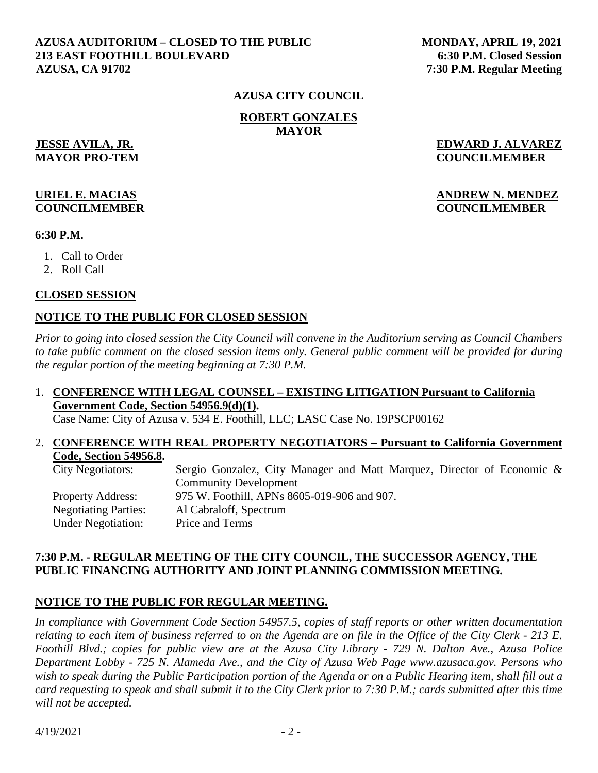#### **AZUSA AUDITORIUM – CLOSED TO THE PUBLIC 213 EAST FOOTHILL BOULEVARD AZUSA, CA 91702**

 **MONDAY, APRIL 19, 2021 6:30 P.M. Closed Session 7:30 P.M. Regular Meeting** 

#### **AZUSA CITY COUNCIL**

**ROBERT GONZALES MAYOR** 

**JESSE AVILA, JR. EDWARD J. ALVAREZ MAYOR PRO-TEM COUNCILMEMBER**

## **URIEL E. MACIAS ANDREW N. MENDEZ COUNCILMEMBER COUNCILMEMBER**

## **6:30 P.M.**

- 1. Call to Order
- 2. Roll Call

#### **CLOSED SESSION**

## **NOTICE TO THE PUBLIC FOR CLOSED SESSION**

*Prior to going into closed session the City Council will convene in the Auditorium serving as Council Chambers to take public comment on the closed session items only. General public comment will be provided for during the regular portion of the meeting beginning at 7:30 P.M.* 

## 1. **CONFERENCE WITH LEGAL COUNSEL – EXISTING LITIGATION Pursuant to California Government Code, Section 54956.9(d)(1).**

Case Name: City of Azusa v. 534 E. Foothill, LLC; LASC Case No. 19PSCP00162

#### 2. **CONFERENCE WITH REAL PROPERTY NEGOTIATORS – Pursuant to California Government Code, Section 54956.8.**

| <b>City Negotiators:</b>    | Sergio Gonzalez, City Manager and Matt Marquez, Director of Economic & |
|-----------------------------|------------------------------------------------------------------------|
|                             | <b>Community Development</b>                                           |
| <b>Property Address:</b>    | 975 W. Foothill, APNs 8605-019-906 and 907.                            |
| <b>Negotiating Parties:</b> | Al Cabraloff, Spectrum                                                 |
| <b>Under Negotiation:</b>   | Price and Terms                                                        |

## **7:30 P.M. - REGULAR MEETING OF THE CITY COUNCIL, THE SUCCESSOR AGENCY, THE PUBLIC FINANCING AUTHORITY AND JOINT PLANNING COMMISSION MEETING.**

## **NOTICE TO THE PUBLIC FOR REGULAR MEETING.**

*In compliance with Government Code Section 54957.5, copies of staff reports or other written documentation relating to each item of business referred to on the Agenda are on file in the Office of the City Clerk - 213 E. Foothill Blvd.; copies for public view are at the Azusa City Library - 729 N. Dalton Ave., Azusa Police Department Lobby - 725 N. Alameda Ave., and the City of Azusa Web Page www.azusaca.gov. Persons who*  wish to speak during the Public Participation portion of the Agenda or on a Public Hearing item, shall fill out a *card requesting to speak and shall submit it to the City Clerk prior to 7:30 P.M.; cards submitted after this time will not be accepted.*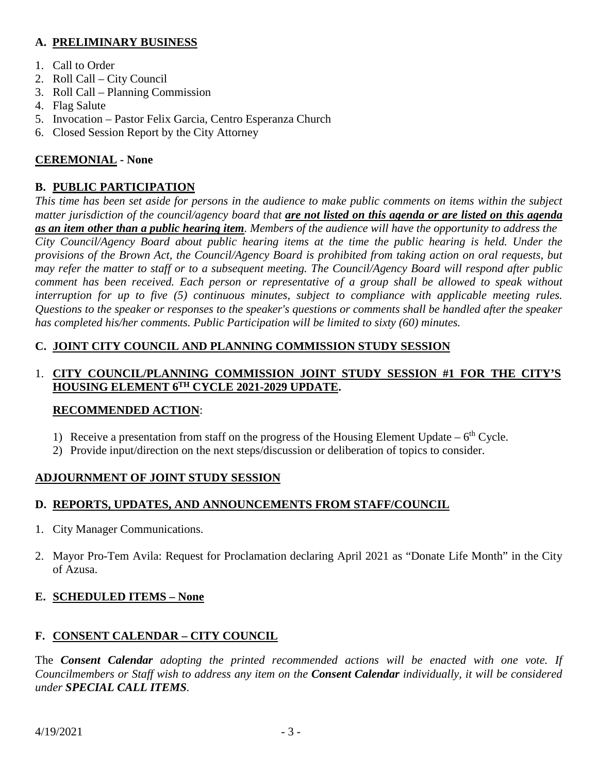# **A. PRELIMINARY BUSINESS**

- 1. Call to Order
- 2. Roll Call City Council
- 3. Roll Call Planning Commission
- 4. Flag Salute
- 5. Invocation Pastor Felix Garcia, Centro Esperanza Church
- 6. Closed Session Report by the City Attorney

# **CEREMONIAL - None**

# **B. PUBLIC PARTICIPATION**

*This time has been set aside for persons in the audience to make public comments on items within the subject matter jurisdiction of the council/agency board that are not listed on this agenda or are listed on this agenda as an item other than a public hearing item. Members of the audience will have the opportunity to address the City Council/Agency Board about public hearing items at the time the public hearing is held. Under the provisions of the Brown Act, the Council/Agency Board is prohibited from taking action on oral requests, but may refer the matter to staff or to a subsequent meeting. The Council/Agency Board will respond after public comment has been received. Each person or representative of a group shall be allowed to speak without interruption for up to five (5) continuous minutes, subject to compliance with applicable meeting rules. Questions to the speaker or responses to the speaker's questions or comments shall be handled after the speaker has completed his/her comments. Public Participation will be limited to sixty (60) minutes.*

# **C. JOINT CITY COUNCIL AND PLANNING COMMISSION STUDY SESSION**

## 1. **CITY COUNCIL/PLANNING COMMISSION JOINT STUDY SESSION #1 FOR THE CITY'S HOUSING ELEMENT 6TH CYCLE 2021-2029 UPDATE.**

# **RECOMMENDED ACTION**:

- 1) Receive a presentation from staff on the progress of the Housing Element Update  $6<sup>th</sup>$  Cycle.
- 2) Provide input/direction on the next steps/discussion or deliberation of topics to consider.

# **ADJOURNMENT OF JOINT STUDY SESSION**

# **D. REPORTS, UPDATES, AND ANNOUNCEMENTS FROM STAFF/COUNCIL**

- 1. City Manager Communications.
- 2. Mayor Pro-Tem Avila: Request for Proclamation declaring April 2021 as "Donate Life Month" in the City of Azusa.

# **E. SCHEDULED ITEMS – None**

# **F. CONSENT CALENDAR – CITY COUNCIL**

The *Consent Calendar adopting the printed recommended actions will be enacted with one vote. If Councilmembers or Staff wish to address any item on the Consent Calendar individually, it will be considered under SPECIAL CALL ITEMS.*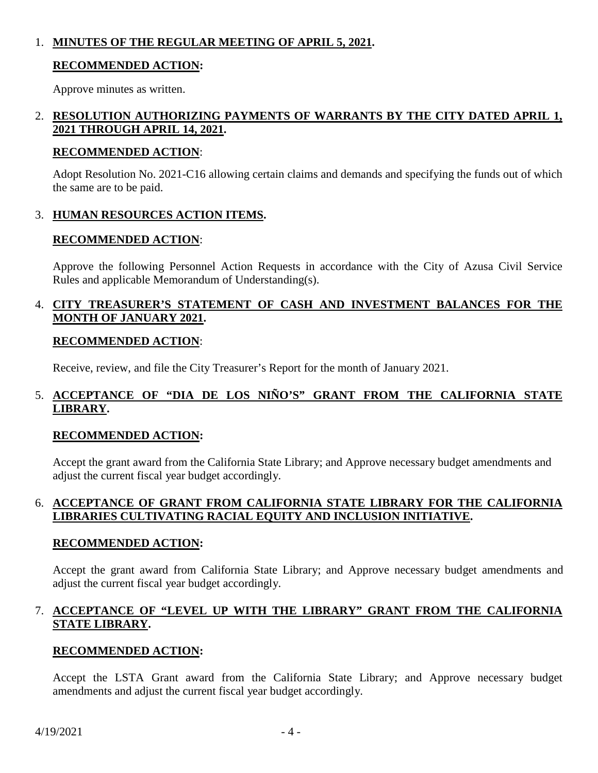## 1. **MINUTES OF THE REGULAR MEETING OF APRIL 5, 2021.**

## **RECOMMENDED ACTION:**

Approve minutes as written.

## 2. **RESOLUTION AUTHORIZING PAYMENTS OF WARRANTS BY THE CITY DATED APRIL 1, 2021 THROUGH APRIL 14, 2021.**

## **RECOMMENDED ACTION**:

Adopt Resolution No. 2021-C16 allowing certain claims and demands and specifying the funds out of which the same are to be paid.

## 3. **HUMAN RESOURCES ACTION ITEMS.**

## **RECOMMENDED ACTION**:

Approve the following Personnel Action Requests in accordance with the City of Azusa Civil Service Rules and applicable Memorandum of Understanding(s).

## 4. **CITY TREASURER'S STATEMENT OF CASH AND INVESTMENT BALANCES FOR THE MONTH OF JANUARY 2021.**

## **RECOMMENDED ACTION**:

Receive, review, and file the City Treasurer's Report for the month of January 2021.

## 5. **ACCEPTANCE OF "DIA DE LOS NIÑO'S" GRANT FROM THE CALIFORNIA STATE LIBRARY.**

# **RECOMMENDED ACTION:**

Accept the grant award from the California State Library; and Approve necessary budget amendments and adjust the current fiscal year budget accordingly.

## 6. **ACCEPTANCE OF GRANT FROM CALIFORNIA STATE LIBRARY FOR THE CALIFORNIA LIBRARIES CULTIVATING RACIAL EQUITY AND INCLUSION INITIATIVE.**

## **RECOMMENDED ACTION:**

Accept the grant award from California State Library; and Approve necessary budget amendments and adjust the current fiscal year budget accordingly.

## 7. **ACCEPTANCE OF "LEVEL UP WITH THE LIBRARY" GRANT FROM THE CALIFORNIA STATE LIBRARY.**

# **RECOMMENDED ACTION:**

Accept the LSTA Grant award from the California State Library; and Approve necessary budget amendments and adjust the current fiscal year budget accordingly.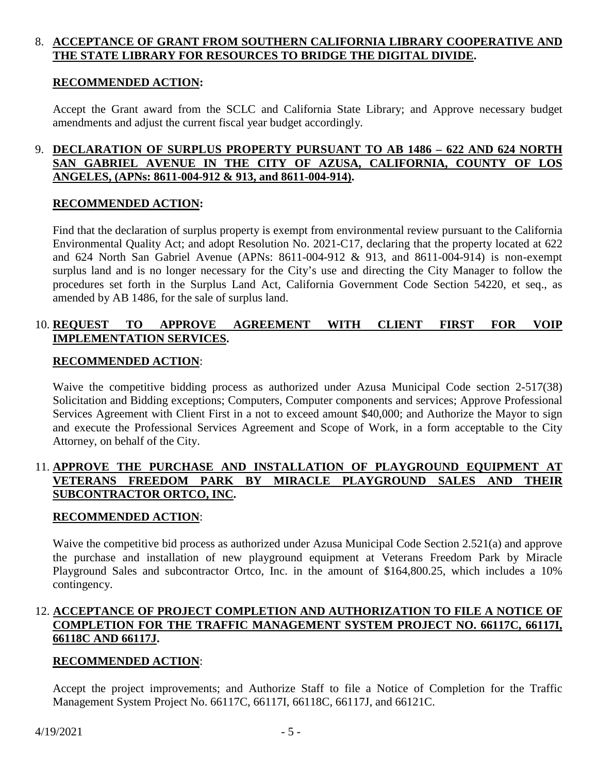## 8. **ACCEPTANCE OF GRANT FROM SOUTHERN CALIFORNIA LIBRARY COOPERATIVE AND THE STATE LIBRARY FOR RESOURCES TO BRIDGE THE DIGITAL DIVIDE.**

## **RECOMMENDED ACTION:**

Accept the Grant award from the SCLC and California State Library; and Approve necessary budget amendments and adjust the current fiscal year budget accordingly.

## 9. **DECLARATION OF SURPLUS PROPERTY PURSUANT TO AB 1486 – 622 AND 624 NORTH SAN GABRIEL AVENUE IN THE CITY OF AZUSA, CALIFORNIA, COUNTY OF LOS ANGELES, (APNs: 8611-004-912 & 913, and 8611-004-914).**

## **RECOMMENDED ACTION:**

Find that the declaration of surplus property is exempt from environmental review pursuant to the California Environmental Quality Act; and adopt Resolution No. 2021-C17, declaring that the property located at 622 and 624 North San Gabriel Avenue (APNs: 8611-004-912 & 913, and 8611-004-914) is non-exempt surplus land and is no longer necessary for the City's use and directing the City Manager to follow the procedures set forth in the Surplus Land Act, California Government Code Section 54220, et seq., as amended by AB 1486, for the sale of surplus land.

## 10. **REQUEST TO APPROVE AGREEMENT WITH CLIENT FIRST FOR VOIP IMPLEMENTATION SERVICES.**

## **RECOMMENDED ACTION**:

Waive the competitive bidding process as authorized under Azusa Municipal Code section 2-517(38) Solicitation and Bidding exceptions; Computers, Computer components and services; Approve Professional Services Agreement with Client First in a not to exceed amount \$40,000; and Authorize the Mayor to sign and execute the Professional Services Agreement and Scope of Work, in a form acceptable to the City Attorney, on behalf of the City.

## 11. **APPROVE THE PURCHASE AND INSTALLATION OF PLAYGROUND EQUIPMENT AT VETERANS FREEDOM PARK BY MIRACLE PLAYGROUND SALES AND THEIR SUBCONTRACTOR ORTCO, INC.**

## **RECOMMENDED ACTION**:

Waive the competitive bid process as authorized under Azusa Municipal Code Section 2.521(a) and approve the purchase and installation of new playground equipment at Veterans Freedom Park by Miracle Playground Sales and subcontractor Ortco, Inc. in the amount of \$164,800.25, which includes a 10% contingency.

## 12. **ACCEPTANCE OF PROJECT COMPLETION AND AUTHORIZATION TO FILE A NOTICE OF COMPLETION FOR THE TRAFFIC MANAGEMENT SYSTEM PROJECT NO. 66117C, 66117I, 66118C AND 66117J.**

## **RECOMMENDED ACTION**:

Accept the project improvements; and Authorize Staff to file a Notice of Completion for the Traffic Management System Project No. 66117C, 66117I, 66118C, 66117J, and 66121C.